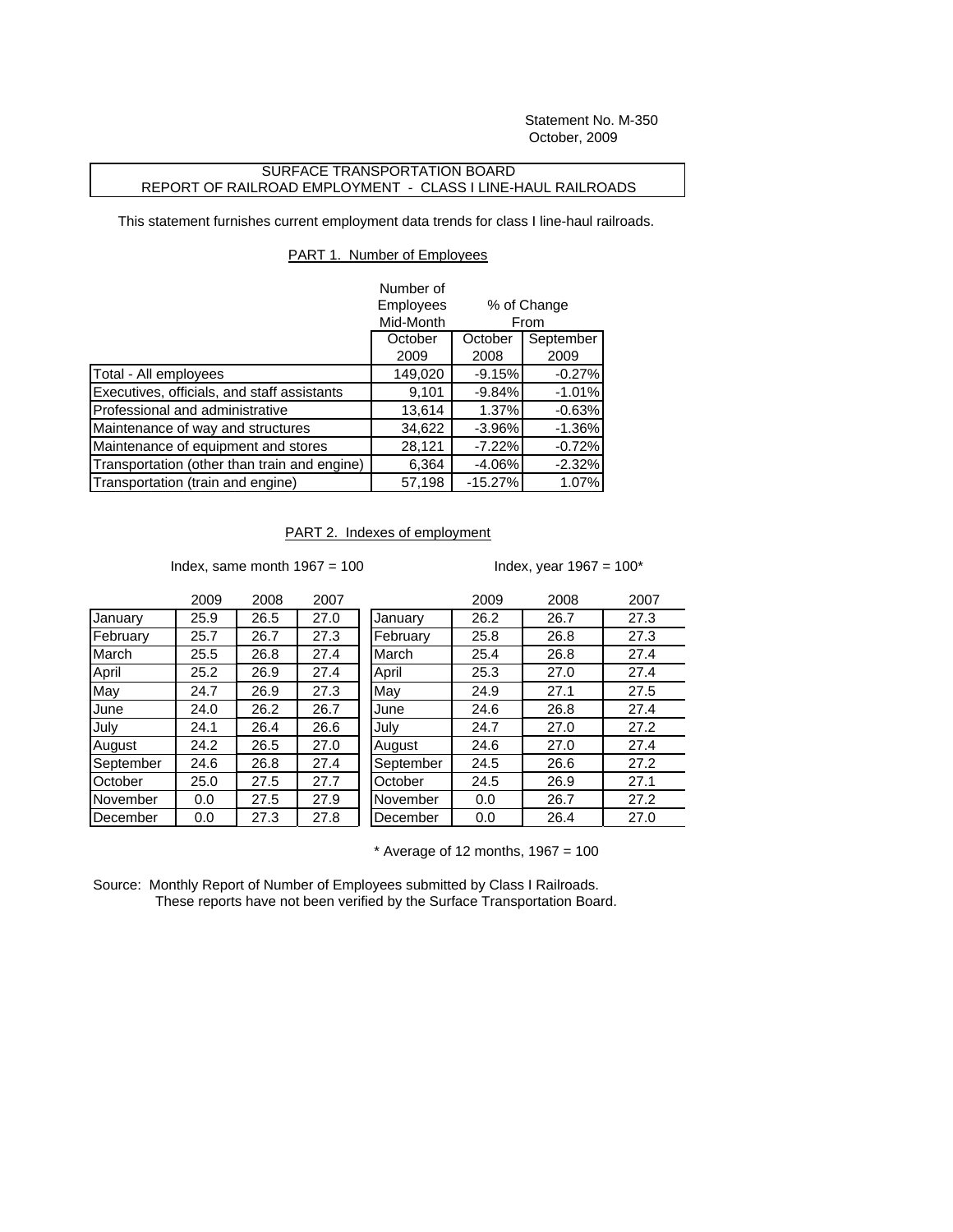Statement No. M-350 October, 2009

## SURFACE TRANSPORTATION BOARD REPORT OF RAILROAD EMPLOYMENT - CLASS I LINE-HAUL RAILROADS

This statement furnishes current employment data trends for class I line-haul railroads.

## PART 1. Number of Employees

|                                              | Number of          |                     |           |
|----------------------------------------------|--------------------|---------------------|-----------|
|                                              | Employees          | % of Change<br>From |           |
|                                              | Mid-Month          |                     |           |
|                                              | October<br>October |                     | September |
|                                              | 2009               | 2008                | 2009      |
| Total - All employees                        | 149,020            | $-9.15%$            | $-0.27%$  |
| Executives, officials, and staff assistants  | 9,101              | $-9.84%$            | $-1.01%$  |
| Professional and administrative              | 13,614             | 1.37%               | $-0.63%$  |
| Maintenance of way and structures            | 34,622             | $-3.96%$            | $-1.36%$  |
| Maintenance of equipment and stores          | 28,121             | $-7.22%$            | $-0.72%$  |
| Transportation (other than train and engine) | 6,364              | $-4.06%$            | $-2.32%$  |
| Transportation (train and engine)            | 57,198             | $-15.27%$           | 1.07%     |

## PART 2. Indexes of employment

Index, same month  $1967 = 100$  Index, year  $1967 = 100$ \*

|           | 2009 | 2008 | 2007 |
|-----------|------|------|------|
| January   | 25.9 | 26.5 | 27.0 |
| February  | 25.7 | 26.7 | 27.3 |
| March     | 25.5 | 26.8 | 27.4 |
| April     | 25.2 | 26.9 | 27.4 |
| May       | 24.7 | 26.9 | 27.3 |
| June      | 24.0 | 26.2 | 26.7 |
| July      | 24.1 | 26.4 | 26.6 |
| August    | 24.2 | 26.5 | 27.0 |
| September | 24.6 | 26.8 | 27.4 |
| October   | 25.0 | 27.5 | 27.7 |
| November  | 0.0  | 27.5 | 27.9 |
| December  | 0.0  | 27.3 | 27.8 |

|           | 2009 | 2008 | 2007 |           | 2009 | 2008 | 2007 |
|-----------|------|------|------|-----------|------|------|------|
| January   | 25.9 | 26.5 | 27.0 | January   | 26.2 | 26.7 | 27.3 |
| February  | 25.7 | 26.7 | 27.3 | February  | 25.8 | 26.8 | 27.3 |
| March     | 25.5 | 26.8 | 27.4 | March     | 25.4 | 26.8 | 27.4 |
| April     | 25.2 | 26.9 | 27.4 | April     | 25.3 | 27.0 | 27.4 |
| May       | 24.7 | 26.9 | 27.3 | May       | 24.9 | 27.1 | 27.5 |
| June      | 24.0 | 26.2 | 26.7 | June      | 24.6 | 26.8 | 27.4 |
| July      | 24.1 | 26.4 | 26.6 | July      | 24.7 | 27.0 | 27.2 |
| August    | 24.2 | 26.5 | 27.0 | August    | 24.6 | 27.0 | 27.4 |
| September | 24.6 | 26.8 | 27.4 | September | 24.5 | 26.6 | 27.2 |
| October   | 25.0 | 27.5 | 27.7 | October   | 24.5 | 26.9 | 27.1 |
| November  | 0.0  | 27.5 | 27.9 | November  | 0.0  | 26.7 | 27.2 |
| December  | 0.0  | 27.3 | 27.8 | December  | 0.0  | 26.4 | 27.0 |
|           |      |      |      |           |      |      |      |

 $*$  Average of 12 months, 1967 = 100

Source: Monthly Report of Number of Employees submitted by Class I Railroads. These reports have not been verified by the Surface Transportation Board.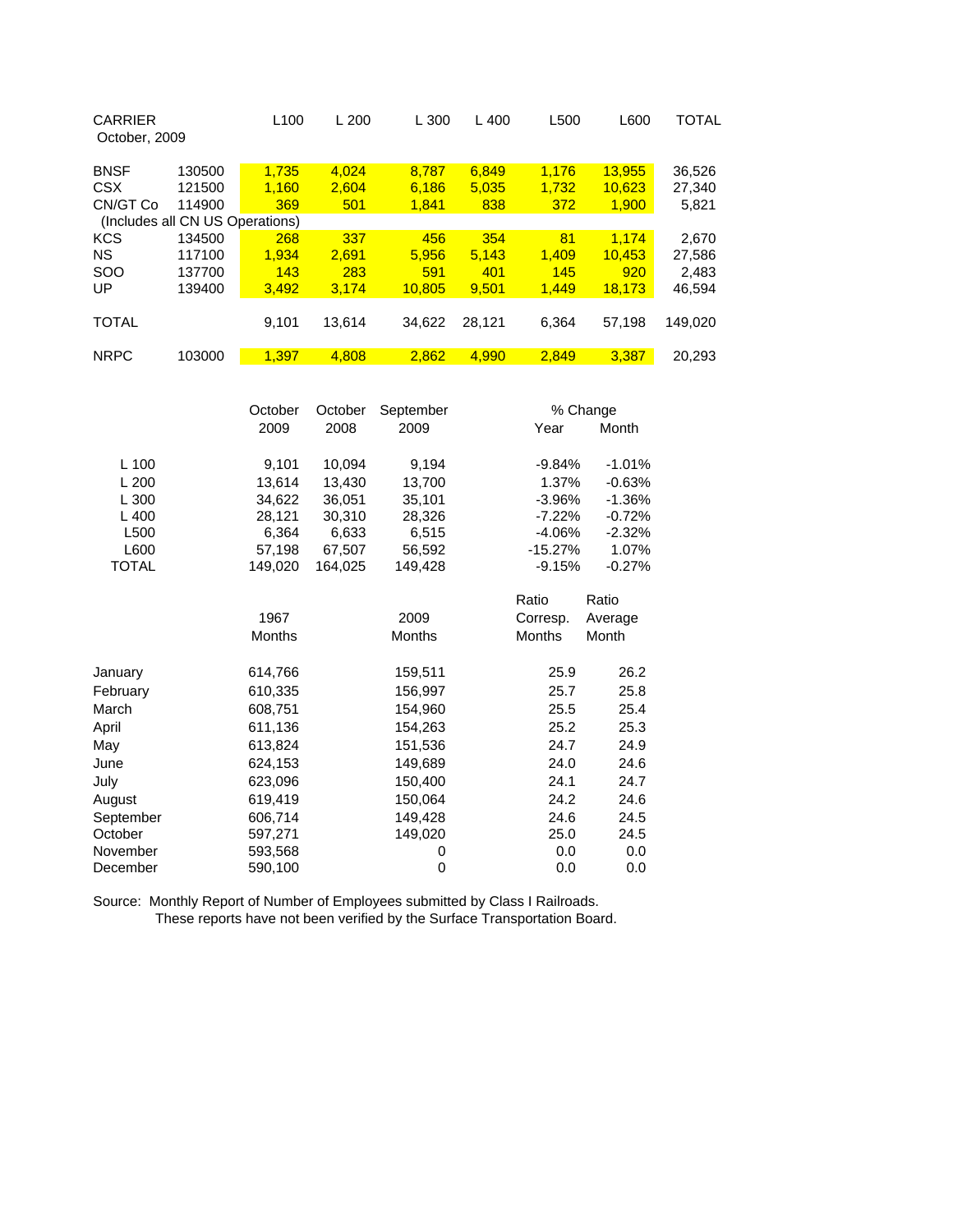| October, 2009 | L <sub>100</sub> | L200                            | L 300  | $L$ 400 | L500  | L600   | TOTAL   |
|---------------|------------------|---------------------------------|--------|---------|-------|--------|---------|
| 130500        | 1.735            | 4.024                           | 8.787  | 6,849   | 1.176 | 13,955 | 36,526  |
| 121500        | 1.160            | 2,604                           | 6.186  | 5,035   | 1.732 | 10,623 | 27,340  |
| 114900        | 369              | 501                             | 1,841  | 838     | 372   | 1,900  | 5,821   |
|               |                  |                                 |        |         |       |        |         |
| 134500        | 268              | 337                             | 456    | 354     | 81    | 1.174  | 2,670   |
| 117100        | 1.934            | 2.691                           | 5.956  | 5.143   | 1.409 | 10.453 | 27,586  |
| 137700        | 143              | 283                             | 591    | 401     | 145   | 920    | 2,483   |
| 139400        | 3.492            | 3,174                           | 10.805 | 9.501   | 1.449 | 18,173 | 46,594  |
|               |                  |                                 |        |         |       |        |         |
|               | 9.101            | 13.614                          | 34.622 | 28.121  | 6.364 | 57.198 | 149.020 |
|               |                  |                                 |        |         |       |        |         |
| 103000        | 1.397            | 4.808                           | 2.862  | 4.990   | 2.849 | 3.387  | 20.293  |
|               |                  | (Includes all CN US Operations) |        |         |       |        |         |

|              | October       | October | September     |               | % Change |  |
|--------------|---------------|---------|---------------|---------------|----------|--|
|              | 2009          | 2008    | 2009          | Year          | Month    |  |
| L 100        | 9,101         | 10,094  | 9,194         | $-9.84%$      | $-1.01%$ |  |
| L200         | 13,614        | 13.430  | 13,700        | 1.37%         | $-0.63%$ |  |
| L300         | 34,622        | 36,051  | 35,101        | $-3.96%$      | $-1.36%$ |  |
| $L$ 400      | 28,121        | 30,310  | 28,326        | $-7.22%$      | $-0.72%$ |  |
| L500         | 6,364         | 6,633   | 6,515         | -4.06%        | $-2.32%$ |  |
| L600         | 57,198        | 67,507  | 56,592        | $-15.27%$     | 1.07%    |  |
| <b>TOTAL</b> | 149,020       | 164,025 | 149,428       | $-9.15%$      | $-0.27%$ |  |
|              |               |         |               | Ratio         | Ratio    |  |
|              | 1967          |         | 2009          | Corresp.      | Average  |  |
|              | <b>Months</b> |         | <b>Months</b> | <b>Months</b> | Month    |  |
| January      | 614,766       |         | 159,511       | 25.9          | 26.2     |  |
| February     | 610,335       |         | 156,997       | 25.7          | 25.8     |  |
| March        | 608,751       |         | 154,960       | 25.5          | 25.4     |  |
| April        | 611,136       |         | 154,263       | 25.2          | 25.3     |  |
| May          | 613,824       |         | 151,536       | 24.7          | 24.9     |  |
| June         | 624,153       |         | 149,689       | 24.0          | 24.6     |  |
| July         | 623,096       |         | 150,400       | 24.1          | 24.7     |  |
| August       | 619,419       |         | 150,064       | 24.2          | 24.6     |  |
| September    | 606,714       |         | 149,428       | 24.6          | 24.5     |  |
| October      | 597,271       |         | 149,020       | 25.0          | 24.5     |  |
| November     | 593,568       |         | 0             | 0.0           | 0.0      |  |
| December     | 590,100       |         | 0             | 0.0           | 0.0      |  |
|              |               |         |               |               |          |  |

Source: Monthly Report of Number of Employees submitted by Class I Railroads. These reports have not been verified by the Surface Transportation Board.